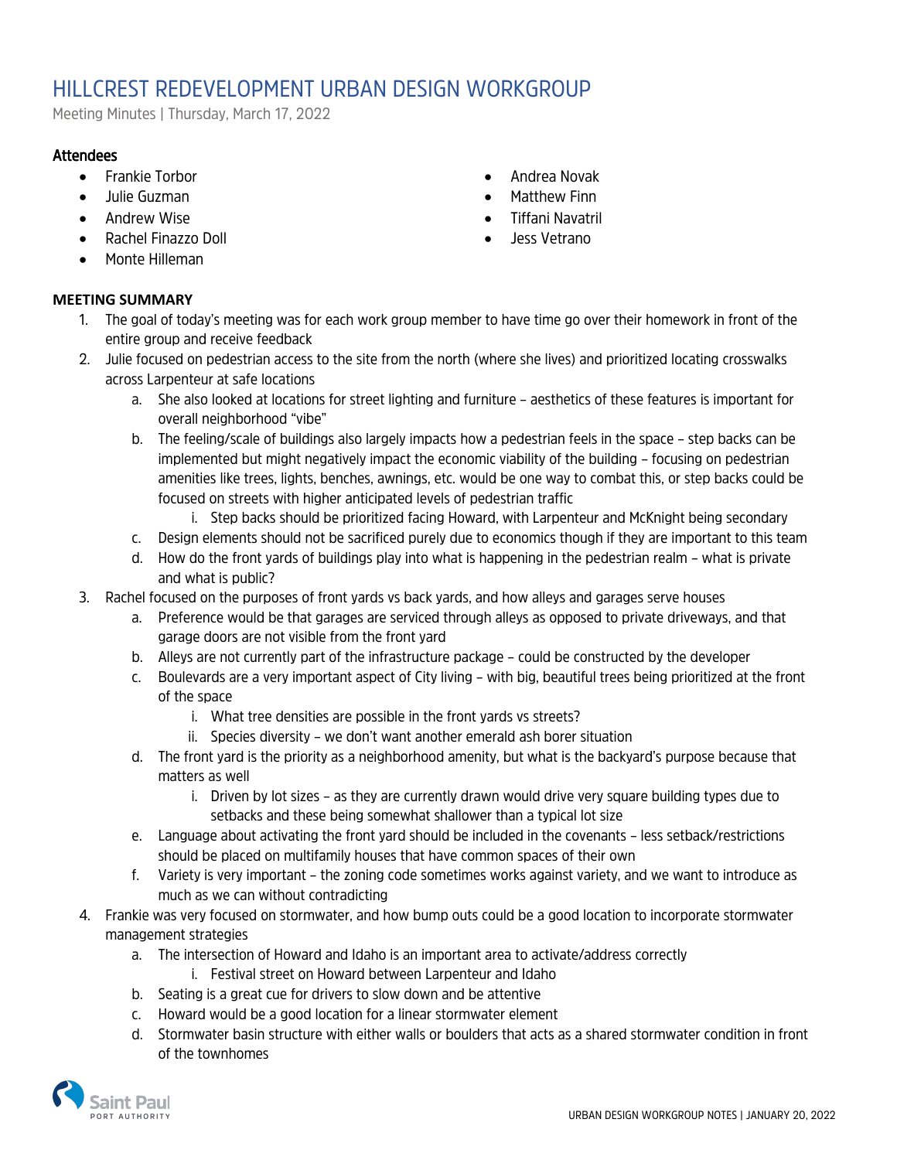## HILLCREST REDEVELOPMENT URBAN DESIGN WORKGROUP

Meeting Minutes | Thursday, March 17, 2022

## **Attendees**

- Frankie Torbor
- Julie Guzman
- Andrew Wise
- Rachel Finazzo Doll
- Monte Hilleman

## **MEETING SUMMARY**

- Andrea Novak
- Matthew Finn
- Tiffani Navatril
- Jess Vetrano
- 1. The goal of today's meeting was for each work group member to have time go over their homework in front of the entire group and receive feedback
- 2. Julie focused on pedestrian access to the site from the north (where she lives) and prioritized locating crosswalks across Larpenteur at safe locations
	- a. She also looked at locations for street lighting and furniture aesthetics of these features is important for overall neighborhood "vibe"
	- b. The feeling/scale of buildings also largely impacts how a pedestrian feels in the space step backs can be implemented but might negatively impact the economic viability of the building – focusing on pedestrian amenities like trees, lights, benches, awnings, etc. would be one way to combat this, or step backs could be focused on streets with higher anticipated levels of pedestrian traffic
		- i. Step backs should be prioritized facing Howard, with Larpenteur and McKnight being secondary
	- c. Design elements should not be sacrificed purely due to economics though if they are important to this team
	- d. How do the front yards of buildings play into what is happening in the pedestrian realm what is private and what is public?
- 3. Rachel focused on the purposes of front yards vs back yards, and how alleys and garages serve houses
	- a. Preference would be that garages are serviced through alleys as opposed to private driveways, and that garage doors are not visible from the front yard
	- b. Alleys are not currently part of the infrastructure package could be constructed by the developer
	- c. Boulevards are a very important aspect of City living with big, beautiful trees being prioritized at the front of the space
		- i. What tree densities are possible in the front yards vs streets?
		- ii. Species diversity we don't want another emerald ash borer situation
	- d. The front yard is the priority as a neighborhood amenity, but what is the backyard's purpose because that matters as well
		- i. Driven by lot sizes as they are currently drawn would drive very square building types due to setbacks and these being somewhat shallower than a typical lot size
	- e. Language about activating the front yard should be included in the covenants less setback/restrictions should be placed on multifamily houses that have common spaces of their own
	- f. Variety is very important the zoning code sometimes works against variety, and we want to introduce as much as we can without contradicting
- 4. Frankie was very focused on stormwater, and how bump outs could be a good location to incorporate stormwater management strategies
	- a. The intersection of Howard and Idaho is an important area to activate/address correctly
		- i. Festival street on Howard between Larpenteur and Idaho
	- b. Seating is a great cue for drivers to slow down and be attentive
	- c. Howard would be a good location for a linear stormwater element
	- d. Stormwater basin structure with either walls or boulders that acts as a shared stormwater condition in front of the townhomes